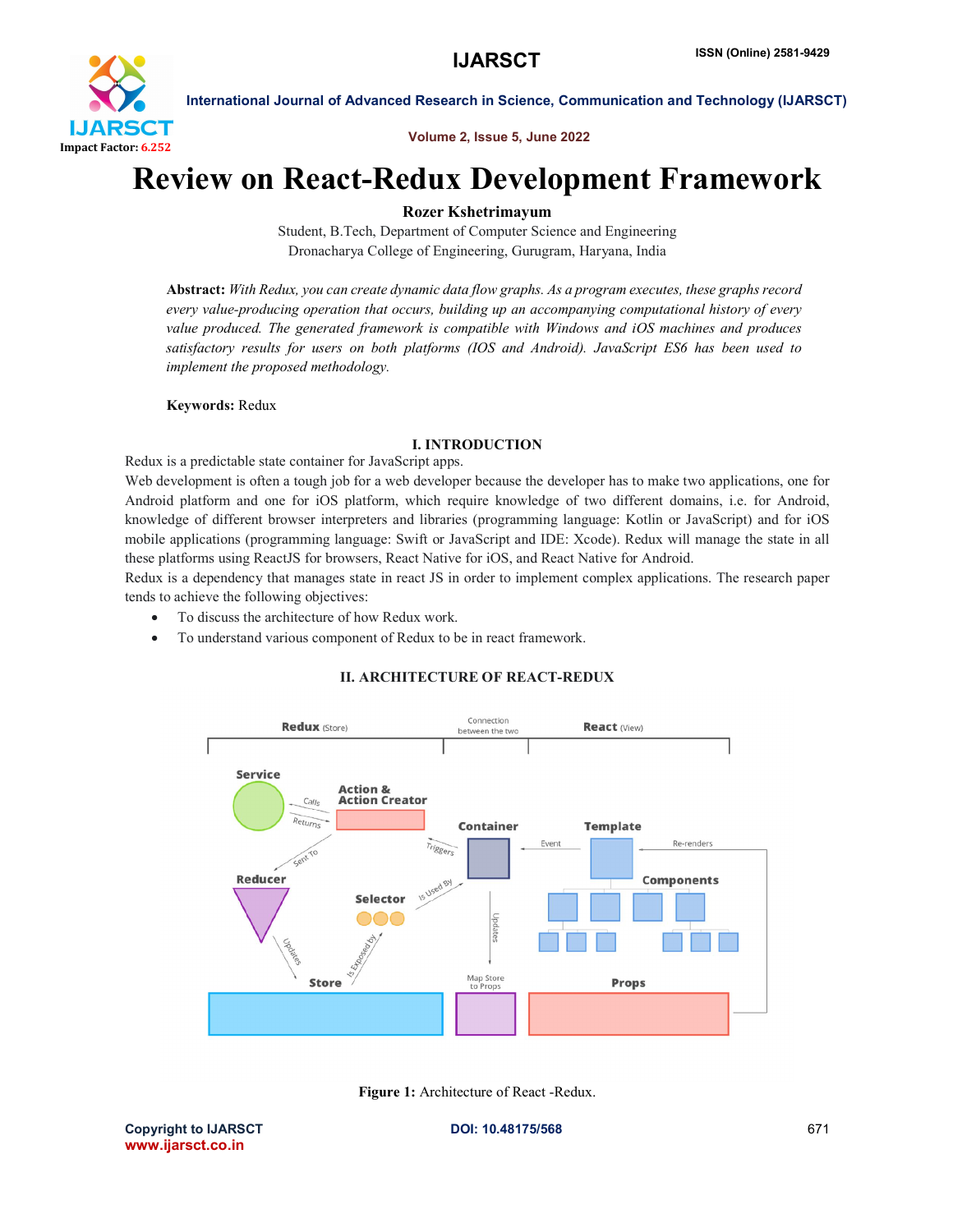

International Journal of Advanced Research in Science, Communication and Technology (IJARSCT)

Volume 2, Issue 5, June 2022

# Review on React-Redux Development Framework

# Rozer Kshetrimayum

Student, B.Tech, Department of Computer Science and Engineering Dronacharya College of Engineering, Gurugram, Haryana, India

Abstract: *With Redux, you can create dynamic data flow graphs. As a program executes, these graphs record every value-producing operation that occurs, building up an accompanying computational history of every value produced. The generated framework is compatible with Windows and iOS machines and produces satisfactory results for users on both platforms (IOS and Android). JavaScript ES6 has been used to implement the proposed methodology.*

#### Keywords: Redux

## I. INTRODUCTION

Redux is a predictable state container for JavaScript apps.

Web development is often a tough job for a web developer because the developer has to make two applications, one for Android platform and one for iOS platform, which require knowledge of two different domains, i.e. for Android, knowledge of different browser interpreters and libraries (programming language: Kotlin or JavaScript) and for iOS mobile applications (programming language: Swift or JavaScript and IDE: Xcode). Redux will manage the state in all these platforms using ReactJS for browsers, React Native for iOS, and React Native for Android.

Redux is a dependency that manages state in react JS in order to implement complex applications. The research paper tends to achieve the following objectives:

- To discuss the architecture of how Redux work.
- To understand various component of Redux to be in react framework.

# II. ARCHITECTURE OF REACT-REDUX



Figure 1: Architecture of React -Redux.

Copyright to IJARSCT **DOI: 10.48175/568** 671 www.ijarsct.co.in